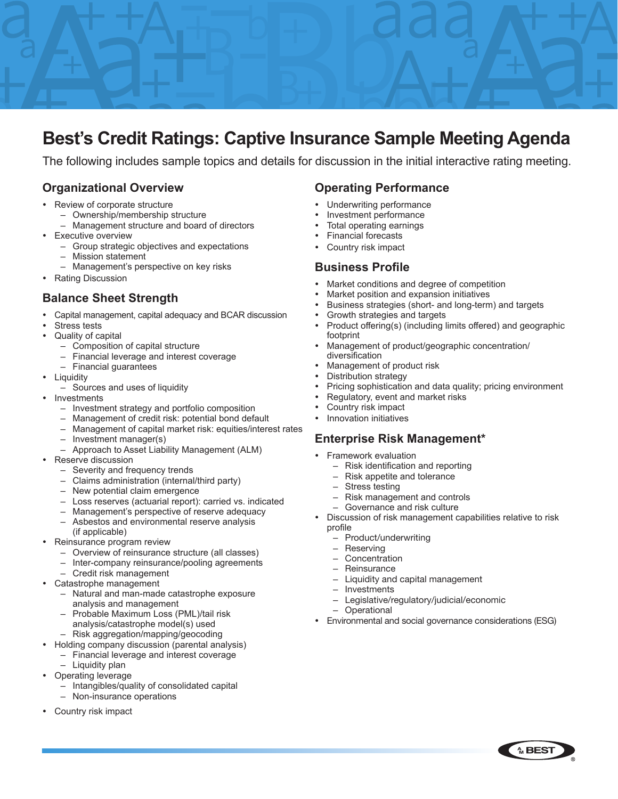

# **Best's Credit Ratings: Captive Insurance Sample Meeting Agenda**

The following includes sample topics and details for discussion in the initial interactive rating meeting.

### **Organizational Overview**

- Review of corporate structure
	- Ownership/membership structure
		- Management structure and board of directors
- **Executive overview** 
	- Group strategic objectives and expectations
	- Mission statement
	- Management's perspective on key risks
- Rating Discussion

#### **Balance Sheet Strength**

- Capital management, capital adequacy and BCAR discussion
- Stress tests
- Quality of capital
	- Composition of capital structure
		- Financial leverage and interest coverage
	- Financial guarantees
- Liquidity
	- Sources and uses of liquidity
- Investments
	- Investment strategy and portfolio composition
	- Management of credit risk: potential bond default
	- Management of capital market risk: equities/interest rates
	- Investment manager(s)
	- Approach to Asset Liability Management (ALM)
- Reserve discussion
	- Severity and frequency trends
	- Claims administration (internal/third party)
	- New potential claim emergence
	- Loss reserves (actuarial report): carried vs. indicated
	- Management's perspective of reserve adequacy – Asbestos and environmental reserve analysis
	- (if applicable)
- Reinsurance program review
	- Overview of reinsurance structure (all classes)
	- Inter-company reinsurance/pooling agreements
- Credit risk management Catastrophe management
	- Natural and man-made catastrophe exposure analysis and management
	- Probable Maximum Loss (PML)/tail risk analysis/catastrophe model(s) used – Risk aggregation/mapping/geocoding
- Holding company discussion (parental analysis)
	- Financial leverage and interest coverage
	- Liquidity plan
- Operating leverage
	- Intangibles/quality of consolidated capital
	- Non-insurance operations
- Country risk impact

#### **Operating Performance**

- Underwriting performance
- Investment performance
- Total operating earnings
- **Financial forecasts**
- Country risk impact

#### **Business Profile**

- Market conditions and degree of competition
- Market position and expansion initiatives
- Business strategies (short- and long-term) and targets
- Growth strategies and targets
- Product offering(s) (including limits offered) and geographic footprint
- Management of product/geographic concentration/ diversification
- Management of product risk
- Distribution strategy
- Pricing sophistication and data quality; pricing environment
- Regulatory, event and market risks
- Country risk impact
- Innovation initiatives

#### **Enterprise Risk Management\***

- Framework evaluation
	- Risk identification and reporting
	- Risk appetite and tolerance
	- Stress testing
	- Risk management and controls
	- Governance and risk culture
- Discussion of risk management capabilities relative to risk profile
	- Product/underwriting
	- **Reserving**
	- **Concentration**
	- **Reinsurance**
	- Liquidity and capital management
	- **Investments**
	- Legislative/regulatory/judicial/economic
	- Operational
- Environmental and social governance considerations (ESG)